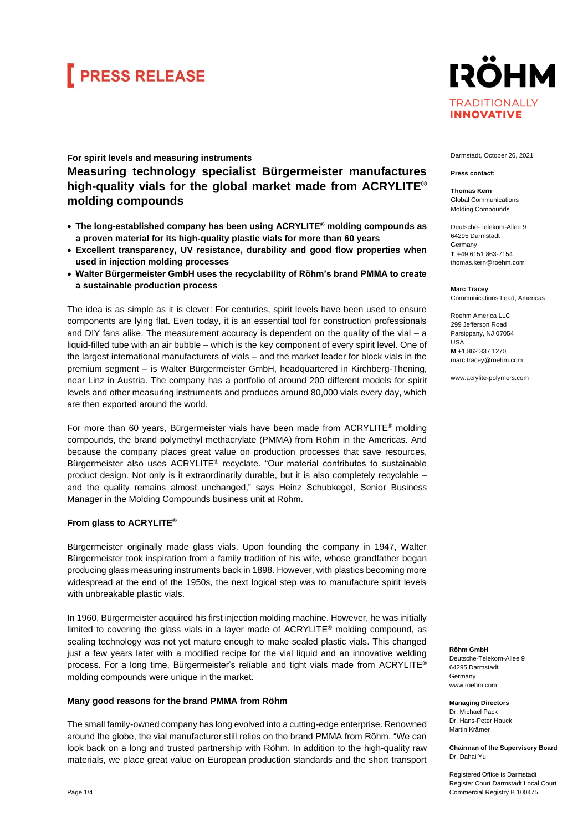# **FRESS RELEASE**

### **For spirit levels and measuring instruments Measuring technology specialist Bürgermeister manufactures high-quality vials for the global market made from ACRYLITE® molding compounds**

- **The long-established company has been using ACRYLITE® molding compounds as a proven material for its high-quality plastic vials for more than 60 years**
- **Excellent transparency, UV resistance, durability and good flow properties when used in injection molding processes**
- **Walter Bürgermeister GmbH uses the recyclability of Röhm's brand PMMA to create a sustainable production process**

The idea is as simple as it is clever: For centuries, spirit levels have been used to ensure components are lying flat. Even today, it is an essential tool for construction professionals and DIY fans alike. The measurement accuracy is dependent on the quality of the vial – a liquid-filled tube with an air bubble – which is the key component of every spirit level. One of the largest international manufacturers of vials – and the market leader for block vials in the premium segment – is Walter Bürgermeister GmbH, headquartered in Kirchberg-Thening, near Linz in Austria. The company has a portfolio of around 200 different models for spirit levels and other measuring instruments and produces around 80,000 vials every day, which are then exported around the world.

For more than 60 years, Bürgermeister vials have been made from ACRYLITE<sup>®</sup> molding compounds, the brand polymethyl methacrylate (PMMA) from Röhm in the Americas. And because the company places great value on production processes that save resources, Bürgermeister also uses ACRYLITE® recyclate. "Our material contributes to sustainable product design. Not only is it extraordinarily durable, but it is also completely recyclable – and the quality remains almost unchanged," says Heinz Schubkegel, Senior Business Manager in the Molding Compounds business unit at Röhm.

#### **From glass to ACRYLITE®**

Bürgermeister originally made glass vials. Upon founding the company in 1947, Walter Bürgermeister took inspiration from a family tradition of his wife, whose grandfather began producing glass measuring instruments back in 1898. However, with plastics becoming more widespread at the end of the 1950s, the next logical step was to manufacture spirit levels with unbreakable plastic vials.

In 1960, Bürgermeister acquired his first injection molding machine. However, he was initially limited to covering the glass vials in a layer made of  $ACRYLITE<sup>®</sup>$  molding compound, as sealing technology was not yet mature enough to make sealed plastic vials. This changed just a few years later with a modified recipe for the vial liquid and an innovative welding process. For a long time, Bürgermeister's reliable and tight vials made from ACRYLITE® molding compounds were unique in the market.

#### **Many good reasons for the brand PMMA from Röhm**

The small family-owned company has long evolved into a cutting-edge enterprise. Renowned around the globe, the vial manufacturer still relies on the brand PMMA from Röhm. "We can look back on a long and trusted partnership with Röhm. In addition to the high-quality raw materials, we place great value on European production standards and the short transport



Darmstadt, October 26, 2021

#### **Press contact:**

**Thomas Kern** Global Communications Molding Compounds

Deutsche-Telekom-Allee 9 64295 Darmstadt Germany **T** +49 6151 863-7154 thomas.kern@roehm.com

**Marc Tracey** Communications Lead, Americas

Roehm America LLC 299 Jefferson Road Parsippany, NJ 07054 USA

**M** +1 862 337 1270 marc.tracey@roehm.com

www.acrylite-polymers.com

**Röhm GmbH**

Deutsche-Telekom-Allee 9 64295 Darmstadt **Germany** www.roehm.com

**Managing Directors** Dr. Michael Pack Dr. Hans-Peter Hauck Martin Krämer

**Chairman of the Supervisory Board** Dr. Dahai Yu

Registered Office is Darmstadt Register Court Darmstadt Local Court Commercial Registry B 100475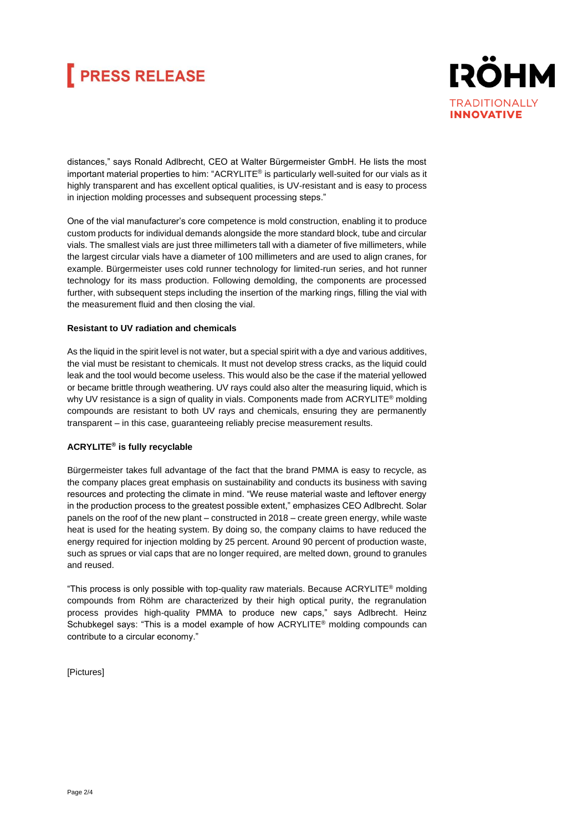## **FRESS RELEASE**



distances," says Ronald Adlbrecht, CEO at Walter Bürgermeister GmbH. He lists the most important material properties to him: "ACRYLITE® is particularly well-suited for our vials as it highly transparent and has excellent optical qualities, is UV-resistant and is easy to process in injection molding processes and subsequent processing steps."

One of the vial manufacturer's core competence is mold construction, enabling it to produce custom products for individual demands alongside the more standard block, tube and circular vials. The smallest vials are just three millimeters tall with a diameter of five millimeters, while the largest circular vials have a diameter of 100 millimeters and are used to align cranes, for example. Bürgermeister uses cold runner technology for limited-run series, and hot runner technology for its mass production. Following demolding, the components are processed further, with subsequent steps including the insertion of the marking rings, filling the vial with the measurement fluid and then closing the vial.

### **Resistant to UV radiation and chemicals**

As the liquid in the spirit level is not water, but a special spirit with a dye and various additives, the vial must be resistant to chemicals. It must not develop stress cracks, as the liquid could leak and the tool would become useless. This would also be the case if the material yellowed or became brittle through weathering. UV rays could also alter the measuring liquid, which is why UV resistance is a sign of quality in vials. Components made from ACRYLITE<sup>®</sup> molding compounds are resistant to both UV rays and chemicals, ensuring they are permanently transparent – in this case, guaranteeing reliably precise measurement results.

### **ACRYLITE® is fully recyclable**

Bürgermeister takes full advantage of the fact that the brand PMMA is easy to recycle, as the company places great emphasis on sustainability and conducts its business with saving resources and protecting the climate in mind. "We reuse material waste and leftover energy in the production process to the greatest possible extent," emphasizes CEO Adlbrecht. Solar panels on the roof of the new plant – constructed in 2018 – create green energy, while waste heat is used for the heating system. By doing so, the company claims to have reduced the energy required for injection molding by 25 percent. Around 90 percent of production waste, such as sprues or vial caps that are no longer required, are melted down, ground to granules and reused.

"This process is only possible with top-quality raw materials. Because ACRYLITE® molding compounds from Röhm are characterized by their high optical purity, the regranulation process provides high-quality PMMA to produce new caps," says Adlbrecht. Heinz Schubkegel says: "This is a model example of how ACRYLITE® molding compounds can contribute to a circular economy."

[Pictures]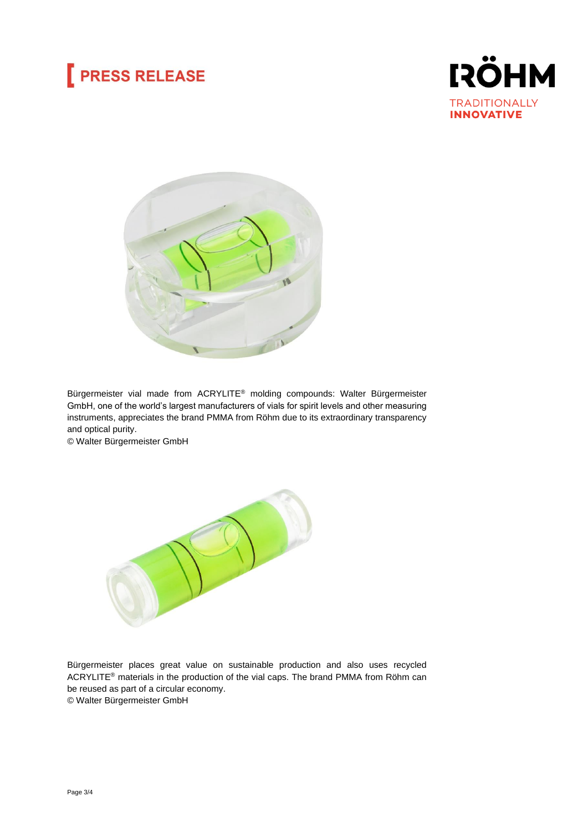## **PRESS RELEASE**





Bürgermeister vial made from ACRYLITE® molding compounds: Walter Bürgermeister GmbH, one of the world's largest manufacturers of vials for spirit levels and other measuring instruments, appreciates the brand PMMA from Röhm due to its extraordinary transparency and optical purity.

© Walter Bürgermeister GmbH



Bürgermeister places great value on sustainable production and also uses recycled ACRYLITE® materials in the production of the vial caps. The brand PMMA from Röhm can be reused as part of a circular economy. © Walter Bürgermeister GmbH